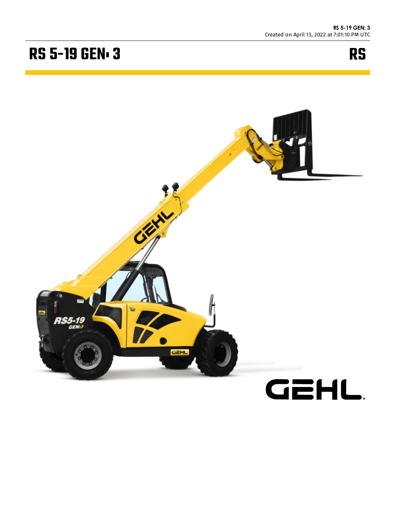## **RS 5-19 GEN. 3**



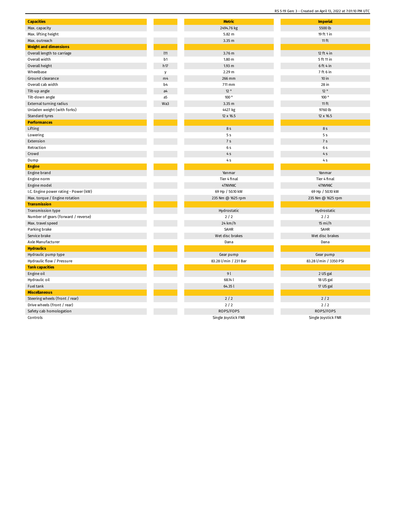| <b>Capacities</b>                     |                | <b>Metric</b>         | <b>Imperial</b>        |
|---------------------------------------|----------------|-----------------------|------------------------|
| Max. capacity                         |                | 2494.76 kg            | 5500 lb                |
| Max. lifting height                   |                | 5.82 m                | 19 ft 1 in             |
| Max. outreach                         |                | 3.35 m                | $11$ ft                |
| <b>Weight and dimensions</b>          |                |                       |                        |
| Overall length to carriage            | 111            | 3.76 m                | 12 ft 4 in             |
| Overall width                         | b1             | 1.80 m                | 5 ft 11 in             |
| Overall height                        | h17            | $1.93$ m              | $6$ ft 4 in            |
| Wheelbase                             | y              | 2.29 <sub>m</sub>     | 7 ft 6 in              |
| Ground clearance                      | m <sub>4</sub> | 266 mm                | 10 in                  |
| Overall cab width                     | b <sub>4</sub> | 711 mm                | 28 in                  |
| Tilt-up angle                         | a <sub>4</sub> | 12°                   | 12°                    |
| Tilt-down angle                       | a5             | 100°                  | 100°                   |
| External turning radius               | Wa3            | 3.35 m                | $11$ ft                |
| Unladen weight (with forks)           |                | 4427 kg               | 9760 lb                |
| Standard tyres                        |                | 12 x 16.5             | 12 x 16.5              |
| <b>Performances</b>                   |                |                       |                        |
| Lifting                               |                | 8 s                   | 8 s                    |
| Lowering                              |                | 5s                    | 5 <sub>s</sub>         |
| Extension                             |                | 7 <sub>s</sub>        | 7 <sub>s</sub>         |
| Retraction                            |                | 6 s                   | 6 s                    |
| Crowd                                 |                | 4S                    | $4S$                   |
| Dump                                  |                | 4S                    | 4S                     |
| <b>Engine</b>                         |                |                       |                        |
| Engine brand                          |                | Yanmar                | Yanmar                 |
| Engine norm                           |                | Tier 4 final          | Tier 4 final           |
| Engine model                          |                | 4TNV98C               | 4TNV98C                |
| I.C. Engine power rating - Power (kW) |                | 69 Hp / 50.10 kW      | 69 Hp / 50.10 kW       |
| Max. torque / Engine rotation         |                | 235 Nm @ 1625 rpm     | 235 Nm @ 1625 rpm      |
| <b>Transmission</b>                   |                |                       |                        |
| Transmission type                     |                | Hydrostatic           | Hydrostatic            |
| Number of gears (forward / reverse)   |                | 2/2                   | 2/2                    |
| Max. travel speed                     |                | 24 km/h               | $15 \text{ mi/h}$      |
| Parking brake                         |                | SAHR                  | SAHR                   |
| Service brake                         |                | Wet disc brakes       | Wet disc brakes        |
| Axle Manufacturer                     |                | Dana                  | Dana                   |
| <b>Hydraulics</b>                     |                |                       |                        |
| Hydraulic pump type                   |                | Gear pump             | Gear pump              |
| Hydraulic flow / Pressure             |                | 83.28 l/min / 231 Bar | 83.28 l/min / 3350 PSI |
| <b>Tank capacities</b>                |                |                       |                        |
| Engine oil                            |                | 9l                    | 2 US gal               |
| Hydraulic oil                         |                | 68.14 l               | 18 US gal              |
| Fuel tank                             |                | 64.35 l               | 17 US gal              |
| <b>Miscellaneous</b>                  |                |                       |                        |
| Steering wheels (front / rear)        |                | $2/2$                 | $2/2$                  |
| Drive wheels (front / rear)           |                | $2/2$                 | $2/2$                  |
| Safety cab homologation               |                | ROPS/FOPS             | ROPS/FOPS              |
| Controls                              |                | Single Joystick FNR   | Single Joystick FNR    |

RS 5-19 Gen: 3 - Created on April 13, 2022 at 7:01:10 PM UTC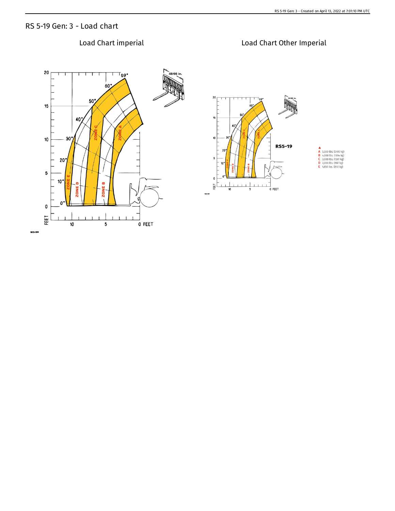## RS 5-19 Gen: 3 - Load chart

## Load Chart imperial Load Chart Other Imperial20 ™69°  $60^\circ$  $50<sup>o</sup>$ 15 40  $30$  $10$  $20<sup>o</sup>$ 5  $10<sup>o</sup>$ ZONE 20 1  $\mathbf 0$  $\pmb{0}$ FEET  $\perp$  $\overline{10}$  $\overline{\mathbf{5}}$ O FEET 183499

## 20  $T_{69}$  $15$  $\overline{4}$  $10$ **RS5-19 A**<br> **B** 4,000 lbs. (2495 kg)<br> **B** 4,000 lbs. (1814 kg)<br> **C** 3,000 lbs. (1361 kg)<br> **D** 2,000 lbs. (907 kg)<br> **E** 1,850 lbs. (840 kg)  $2($  $\overline{\phantom{a}}$  $\pmb{\mathsf{0}}$  $+1$ FEET  $1<sup>-1</sup>$  $\mathbf{r}$  $\overline{10}$  $\overline{\phantom{a}}$ O FEET